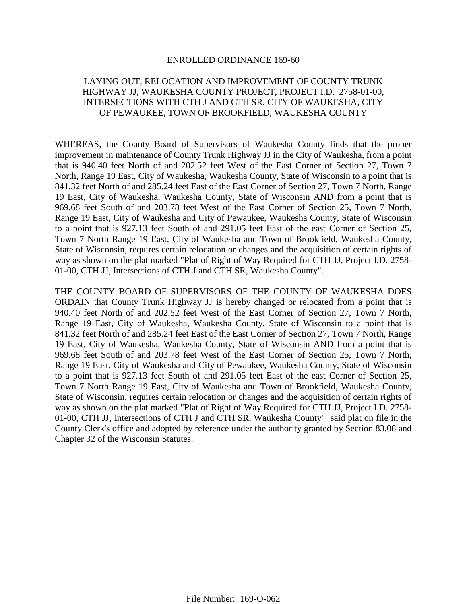## ENROLLED ORDINANCE 169-60

## LAYING OUT, RELOCATION AND IMPROVEMENT OF COUNTY TRUNK HIGHWAY JJ, WAUKESHA COUNTY PROJECT, PROJECT I.D. 2758-01-00, INTERSECTIONS WITH CTH J AND CTH SR, CITY OF WAUKESHA, CITY OF PEWAUKEE, TOWN OF BROOKFIELD, WAUKESHA COUNTY

WHEREAS, the County Board of Supervisors of Waukesha County finds that the proper improvement in maintenance of County Trunk Highway JJ in the City of Waukesha, from a point that is 940.40 feet North of and 202.52 feet West of the East Corner of Section 27, Town 7 North, Range 19 East, City of Waukesha, Waukesha County, State of Wisconsin to a point that is 841.32 feet North of and 285.24 feet East of the East Corner of Section 27, Town 7 North, Range 19 East, City of Waukesha, Waukesha County, State of Wisconsin AND from a point that is 969.68 feet South of and 203.78 feet West of the East Corner of Section 25, Town 7 North, Range 19 East, City of Waukesha and City of Pewaukee, Waukesha County, State of Wisconsin to a point that is 927.13 feet South of and 291.05 feet East of the east Corner of Section 25, Town 7 North Range 19 East, City of Waukesha and Town of Brookfield, Waukesha County, State of Wisconsin, requires certain relocation or changes and the acquisition of certain rights of way as shown on the plat marked "Plat of Right of Way Required for CTH JJ, Project I.D. 2758- 01-00, CTH JJ, Intersections of CTH J and CTH SR, Waukesha County".

THE COUNTY BOARD OF SUPERVISORS OF THE COUNTY OF WAUKESHA DOES ORDAIN that County Trunk Highway JJ is hereby changed or relocated from a point that is 940.40 feet North of and 202.52 feet West of the East Corner of Section 27, Town 7 North, Range 19 East, City of Waukesha, Waukesha County, State of Wisconsin to a point that is 841.32 feet North of and 285.24 feet East of the East Corner of Section 27, Town 7 North, Range 19 East, City of Waukesha, Waukesha County, State of Wisconsin AND from a point that is 969.68 feet South of and 203.78 feet West of the East Corner of Section 25, Town 7 North, Range 19 East, City of Waukesha and City of Pewaukee, Waukesha County, State of Wisconsin to a point that is 927.13 feet South of and 291.05 feet East of the east Corner of Section 25, Town 7 North Range 19 East, City of Waukesha and Town of Brookfield, Waukesha County, State of Wisconsin, requires certain relocation or changes and the acquisition of certain rights of way as shown on the plat marked "Plat of Right of Way Required for CTH JJ, Project I.D. 2758- 01-00, CTH JJ, Intersections of CTH J and CTH SR, Waukesha County" said plat on file in the County Clerk's office and adopted by reference under the authority granted by Section 83.08 and Chapter 32 of the Wisconsin Statutes.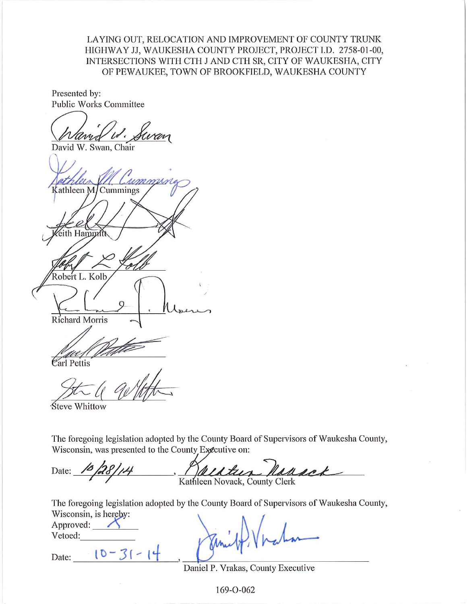LAYING OUT, RELOCATION AND IMPROVEMENT OF COUNTY TRUNK HIGHWAY JJ, WAUKESHA COUNTY PROJECT, PROJECT I.D. 2758-01-00, INTERSECTIONS WITH CTH J AND CTH SR, CITY OF WAUKESHA, CITY OF PEWAUKEE, TOWN OF BROOKFIELD, WAUKESHA COUNTY

Presented by: Public Works Committee

David W. Swan, Chair

marin Kathleen M/Cummings th Ham Robert L. Kolb Richard Morris

Carl Pettis

Steve Whittow

The foregoing legislation adopted by the County Board of Supervisors of Waukesha County, Wisconsin, was presented to the County Executive on:

Date: susok Kathleen Novack, County Clerk

The foregoing legislation adopted by the County Board of Supervisors of Waukesha County, Wisconsin is hereby:

| $\frac{1}{2}$<br>Approved: |  |  |
|----------------------------|--|--|
| Vetoed:                    |  |  |
| Date:                      |  |  |

Daniel P. Vrakas, County Executive

169-0-062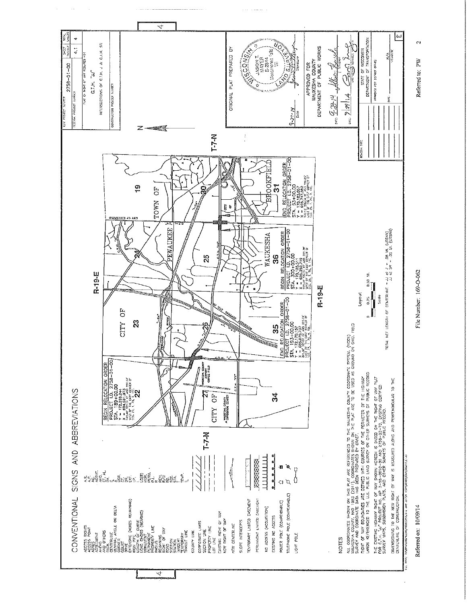

Referred on: 10/09/14

File Number: 169-O-062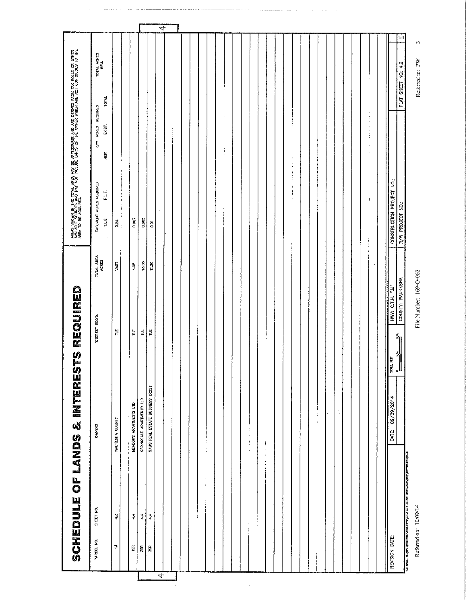|                | SCHEDULE OF LANDS & INTERESTS REQUIRED                                                      |                                 |                                                            |                        | AREAS SHOWN IN THE TOTAL AREA MAY BE APPROXIMATE AND ARE DERVED FROM TAX ROLLS OR OTHER<br>AREA TO E SCASSISE AND MAY NOT INCLUDE LANDS OF THE OWNER WHEN ARE NOT CONTROLOUS TO THE<br>AREA TO E SCASSISE AND MAY NOT INCLUDE LANDS |                                                    |                    |                  |
|----------------|---------------------------------------------------------------------------------------------|---------------------------------|------------------------------------------------------------|------------------------|-------------------------------------------------------------------------------------------------------------------------------------------------------------------------------------------------------------------------------------|----------------------------------------------------|--------------------|------------------|
| PARCEL NO.     | SHEET NO.                                                                                   | OWNERS                          | INTEREST REQ'D.                                            | TOTAL AREA             | EASEMENT ACRES REQUIRED<br>PLE<br>T.LE.                                                                                                                                                                                             | <b>TOTAL</b><br>R/W ACRES REQUIRED<br>EXIST.<br>۴ğ | TOTAL AGRES        |                  |
| $\overline{z}$ | $\ddot{\varphi}$                                                                            | WAUKESHA COUNTY                 | 븉                                                          | VAST                   | 0.24                                                                                                                                                                                                                                |                                                    |                    |                  |
| 15R            | $\ddot{\cdot}$                                                                              | MEADOWS APARTMENTS LTD          | $\sharp$                                                   | $^{00,*}$              | 0.007                                                                                                                                                                                                                               |                                                    |                    |                  |
| 25R            | $\ddot{\div}$                                                                               | SPRINGDALE APARTMENTS LLC       | 닅                                                          | 13,85                  | 0.005                                                                                                                                                                                                                               |                                                    |                    |                  |
| ğ              | $\ddot{\phantom{0}}$                                                                        | SAMS REAL ESTATE BUSINESS TRUST | 붙                                                          | 11.20                  | ā                                                                                                                                                                                                                                   |                                                    |                    |                  |
|                |                                                                                             |                                 |                                                            |                        | $\cdot$                                                                                                                                                                                                                             |                                                    |                    |                  |
|                |                                                                                             |                                 |                                                            |                        |                                                                                                                                                                                                                                     |                                                    |                    |                  |
|                |                                                                                             |                                 |                                                            |                        |                                                                                                                                                                                                                                     |                                                    |                    |                  |
|                |                                                                                             |                                 |                                                            |                        |                                                                                                                                                                                                                                     |                                                    |                    |                  |
|                |                                                                                             |                                 |                                                            |                        |                                                                                                                                                                                                                                     |                                                    |                    |                  |
|                |                                                                                             |                                 |                                                            |                        |                                                                                                                                                                                                                                     |                                                    |                    |                  |
|                |                                                                                             |                                 |                                                            |                        |                                                                                                                                                                                                                                     |                                                    |                    |                  |
|                |                                                                                             |                                 |                                                            |                        |                                                                                                                                                                                                                                     |                                                    |                    |                  |
|                |                                                                                             |                                 |                                                            |                        |                                                                                                                                                                                                                                     |                                                    |                    |                  |
|                |                                                                                             |                                 |                                                            |                        |                                                                                                                                                                                                                                     |                                                    |                    |                  |
|                |                                                                                             |                                 |                                                            |                        |                                                                                                                                                                                                                                     |                                                    |                    |                  |
|                |                                                                                             |                                 |                                                            |                        |                                                                                                                                                                                                                                     |                                                    |                    |                  |
|                |                                                                                             |                                 |                                                            |                        |                                                                                                                                                                                                                                     |                                                    |                    |                  |
|                |                                                                                             |                                 |                                                            |                        |                                                                                                                                                                                                                                     |                                                    |                    |                  |
|                |                                                                                             |                                 |                                                            |                        |                                                                                                                                                                                                                                     |                                                    |                    |                  |
|                |                                                                                             | ţ.                              |                                                            |                        |                                                                                                                                                                                                                                     |                                                    |                    |                  |
|                |                                                                                             |                                 |                                                            |                        |                                                                                                                                                                                                                                     |                                                    |                    |                  |
|                |                                                                                             |                                 |                                                            |                        |                                                                                                                                                                                                                                     |                                                    |                    |                  |
| REVISION DATE: |                                                                                             | DATE: 09/29/2014                | saut, ren                                                  | HWY: C.T.H. "JJ"       | CONSTRUCTION PROJECT NO.:                                                                                                                                                                                                           |                                                    |                    |                  |
|                |                                                                                             |                                 | $\mathbf{z}_0$<br>$\frac{d\mathbf{y}}{d\mathbf{y}}$<br>ll. | COUNTY: WAUKESHA       | R/W PROJECT NO.:                                                                                                                                                                                                                    |                                                    | PLAT SHEET NO: 4.2 | Ē,               |
|                | THE WARD AN ORIGINAL TOWARD TO A THE WELFARE AND A STEAM OF THE WARD OF THE WARD TO THE THE |                                 |                                                            |                        |                                                                                                                                                                                                                                     |                                                    |                    |                  |
|                | Referred on: 10/09/14                                                                       |                                 |                                                            | File Number: 169-0-062 |                                                                                                                                                                                                                                     |                                                    | Referred to: PW    | $\epsilon\gamma$ |

 $\sim$  $\hat{z}$  is a set of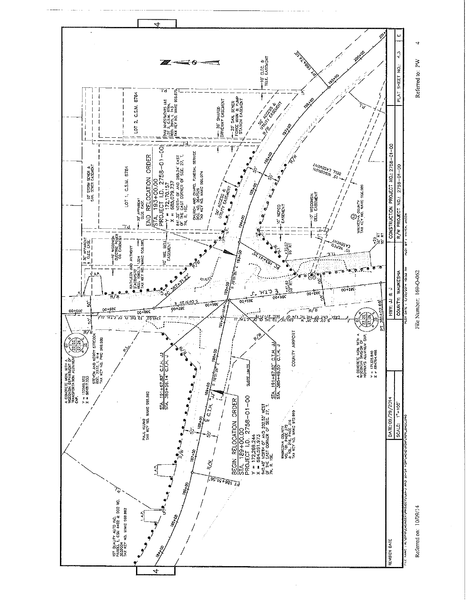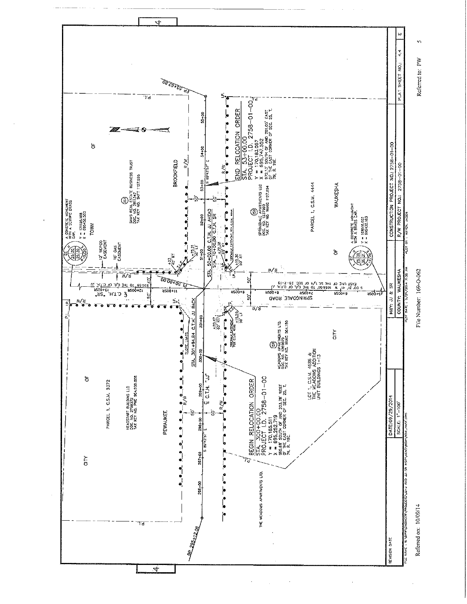